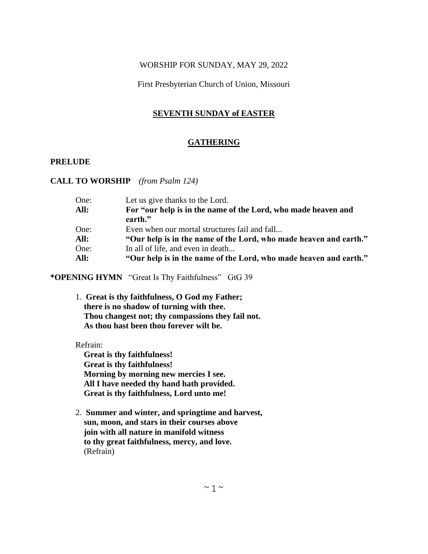# WORSHIP FOR SUNDAY, MAY 29, 2022

First Presbyterian Church of Union, Missouri

# **SEVENTH SUNDAY of EASTER**

# **GATHERING**

# **PRELUDE**

### **CALL TO WORSHIP** *(from Psalm 124)*

| Let us give thanks to the Lord.                                   |
|-------------------------------------------------------------------|
| For "our help is in the name of the Lord, who made heaven and     |
| earth."                                                           |
| Even when our mortal structures fail and fall                     |
| "Our help is in the name of the Lord, who made heaven and earth." |
| In all of life, and even in death                                 |
| "Our help is in the name of the Lord, who made heaven and earth." |
|                                                                   |

**\*OPENING HYMN** "Great Is Thy Faithfulness" GtG 39

1. **Great is thy faithfulness, O God my Father; there is no shadow of turning with thee. Thou changest not; thy compassions they fail not. As thou hast been thou forever wilt be.**

Refrain:

 **Great is thy faithfulness! Great is thy faithfulness! Morning by morning new mercies I see. All I have needed thy hand hath provided. Great is thy faithfulness, Lord unto me!**

2. **Summer and winter, and springtime and harvest, sun, moon, and stars in their courses above join with all nature in manifold witness to thy great faithfulness, mercy, and love.** (Refrain)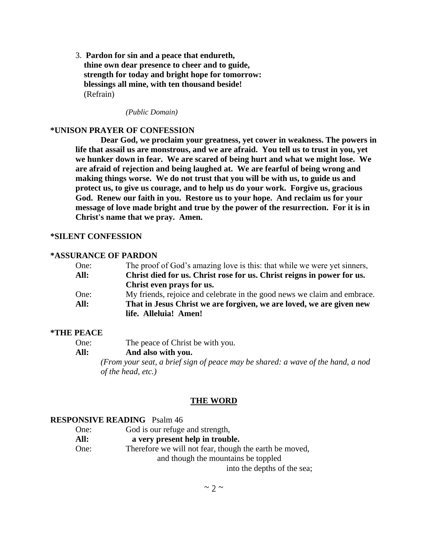3. **Pardon for sin and a peace that endureth, thine own dear presence to cheer and to guide, strength for today and bright hope for tomorrow: blessings all mine, with ten thousand beside!** (Refrain)

#### *(Public Domain)*

#### **\*UNISON PRAYER OF CONFESSION**

**Dear God, we proclaim your greatness, yet cower in weakness. The powers in life that assail us are monstrous, and we are afraid. You tell us to trust in you, yet we hunker down in fear. We are scared of being hurt and what we might lose. We are afraid of rejection and being laughed at. We are fearful of being wrong and making things worse. We do not trust that you will be with us, to guide us and protect us, to give us courage, and to help us do your work. Forgive us, gracious God. Renew our faith in you. Restore us to your hope. And reclaim us for your message of love made bright and true by the power of the resurrection. For it is in Christ's name that we pray. Amen.**

#### **\*SILENT CONFESSION**

#### **\*ASSURANCE OF PARDON**

| One: | The proof of God's amazing love is this: that while we were yet sinners, |
|------|--------------------------------------------------------------------------|
| All: | Christ died for us. Christ rose for us. Christ reigns in power for us.   |
|      | Christ even prays for us.                                                |
| One: | My friends, rejoice and celebrate in the good news we claim and embrace. |
| All: | That in Jesus Christ we are forgiven, we are loved, we are given new     |
|      | life. Alleluia! Amen!                                                    |

#### **\*THE PEACE**

One: The peace of Christ be with you.

**All: And also with you.**

*(From your seat, a brief sign of peace may be shared: a wave of the hand, a nod of the head, etc.)*

#### **THE WORD**

### **RESPONSIVE READING** Psalm 46

- One: God is our refuge and strength,
- **All: a very present help in trouble.**
- One: Therefore we will not fear, though the earth be moved, and though the mountains be toppled

into the depths of the sea;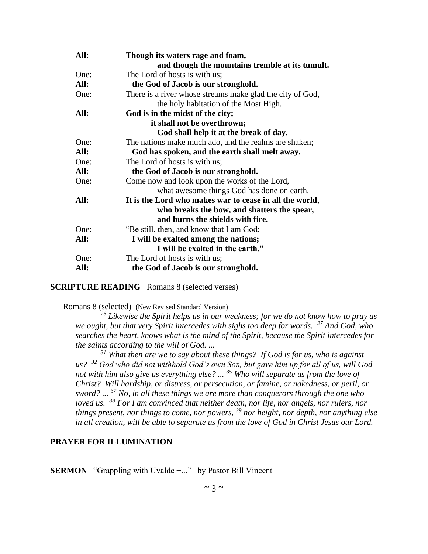| All: | Though its waters rage and foam,                          |
|------|-----------------------------------------------------------|
|      | and though the mountains tremble at its tumult.           |
| One: | The Lord of hosts is with us;                             |
| All: | the God of Jacob is our stronghold.                       |
| One: | There is a river whose streams make glad the city of God, |
|      | the holy habitation of the Most High.                     |
| All: | God is in the midst of the city;                          |
|      | it shall not be overthrown;                               |
|      | God shall help it at the break of day.                    |
| One: | The nations make much ado, and the realms are shaken;     |
| All: | God has spoken, and the earth shall melt away.            |
| One: | The Lord of hosts is with us;                             |
| All: | the God of Jacob is our stronghold.                       |
| One: | Come now and look upon the works of the Lord,             |
|      | what awesome things God has done on earth.                |
| All: | It is the Lord who makes war to cease in all the world,   |
|      | who breaks the bow, and shatters the spear,               |
|      | and burns the shields with fire.                          |
| One: | "Be still, then, and know that I am God;                  |
| All: | I will be exalted among the nations;                      |
|      | I will be exalted in the earth."                          |
| One: | The Lord of hosts is with us;                             |
| All: | the God of Jacob is our stronghold.                       |

# **SCRIPTURE READING** Romans 8 (selected verses)

Romans 8 (selected) (New Revised Standard Version)

*<sup>26</sup> Likewise the Spirit helps us in our weakness; for we do not know how to pray as we ought, but that very Spirit intercedes with sighs too deep for words. <sup>27</sup> And God, who searches the heart, knows what is the mind of the Spirit, because the Spirit intercedes for the saints according to the will of God. ...*

*<sup>31</sup> What then are we to say about these things? If God is for us, who is against us? <sup>32</sup> God who did not withhold God's own Son, but gave him up for all of us, will God not with him also give us everything else? ... <sup>35</sup> Who will separate us from the love of Christ? Will hardship, or distress, or persecution, or famine, or nakedness, or peril, or sword? ... <sup>37</sup> No, in all these things we are more than conquerors through the one who loved us. <sup>38</sup> For I am convinced that neither death, nor life, nor angels, nor rulers, nor things present, nor things to come, nor powers, <sup>39</sup> nor height, nor depth, nor anything else in all creation, will be able to separate us from the love of God in Christ Jesus our Lord.*

### **PRAYER FOR ILLUMINATION**

**SERMON** "Grappling with Uvalde +..." by Pastor Bill Vincent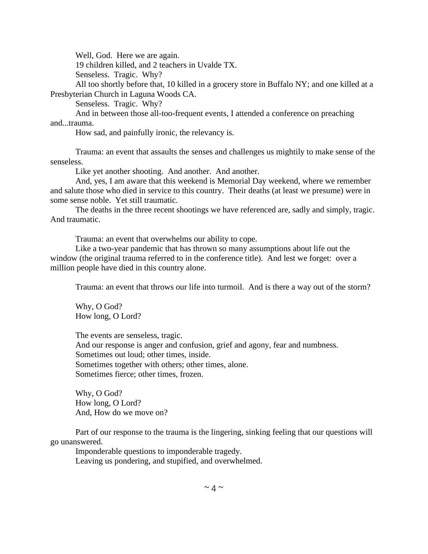Well, God. Here we are again.

19 children killed, and 2 teachers in Uvalde TX.

Senseless. Tragic. Why?

All too shortly before that, 10 killed in a grocery store in Buffalo NY; and one killed at a Presbyterian Church in Laguna Woods CA.

Senseless. Tragic. Why?

And in between those all-too-frequent events, I attended a conference on preaching and...trauma.

How sad, and painfully ironic, the relevancy is.

Trauma: an event that assaults the senses and challenges us mightily to make sense of the senseless.

Like yet another shooting. And another. And another.

And, yes, I am aware that this weekend is Memorial Day weekend, where we remember and salute those who died in service to this country. Their deaths (at least we presume) were in some sense noble. Yet still traumatic.

The deaths in the three recent shootings we have referenced are, sadly and simply, tragic. And traumatic.

Trauma: an event that overwhelms our ability to cope.

Like a two-year pandemic that has thrown so many assumptions about life out the window (the original trauma referred to in the conference title). And lest we forget: over a million people have died in this country alone.

Trauma: an event that throws our life into turmoil. And is there a way out of the storm?

Why, O God? How long, O Lord?

The events are senseless, tragic. And our response is anger and confusion, grief and agony, fear and numbness. Sometimes out loud; other times, inside. Sometimes together with others; other times, alone. Sometimes fierce; other times, frozen.

Why, O God? How long, O Lord? And, How do we move on?

Part of our response to the trauma is the lingering, sinking feeling that our questions will go unanswered.

Imponderable questions to imponderable tragedy.

Leaving us pondering, and stupified, and overwhelmed.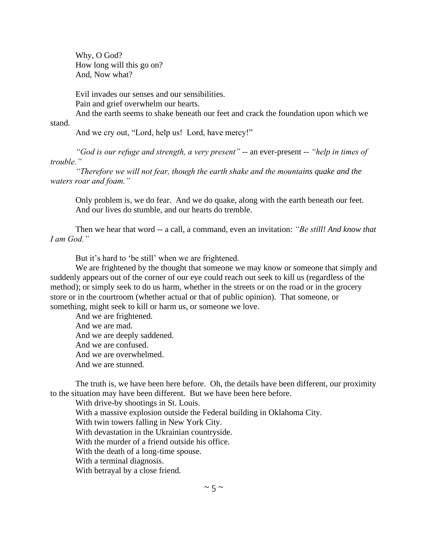Why, O God? How long will this go on? And, Now what?

Evil invades our senses and our sensibilities. Pain and grief overwhelm our hearts.

And the earth seems to shake beneath our feet and crack the foundation upon which we stand.

And we cry out, "Lord, help us! Lord, have mercy!"

*"God is our refuge and strength, a very present"* -- an ever-present -- *"help in times of trouble."*

*"Therefore we will not fear, though the earth shake and the mountains quake and the waters roar and foam."*

Only problem is, we do fear. And we do quake, along with the earth beneath our feet. And our lives do stumble, and our hearts do tremble.

Then we hear that word -- a call, a command, even an invitation: *"Be still! And know that I am God."*

But it's hard to 'be still' when we are frightened.

We are frightened by the thought that someone we may know or someone that simply and suddenly appears out of the corner of our eye could reach out seek to kill us (regardless of the method); or simply seek to do us harm, whether in the streets or on the road or in the grocery store or in the courtroom (whether actual or that of public opinion). That someone, or something, might seek to kill or harm us, or someone we love.

And we are frightened. And we are mad. And we are deeply saddened. And we are confused. And we are overwhelmed. And we are stunned.

The truth is, we have been here before. Oh, the details have been different, our proximity to the situation may have been different. But we have been here before.

With drive-by shootings in St. Louis. With a massive explosion outside the Federal building in Oklahoma City. With twin towers falling in New York City. With devastation in the Ukrainian countryside. With the murder of a friend outside his office. With the death of a long-time spouse. With a terminal diagnosis. With betrayal by a close friend.

 $~\sim$  5  $~\sim$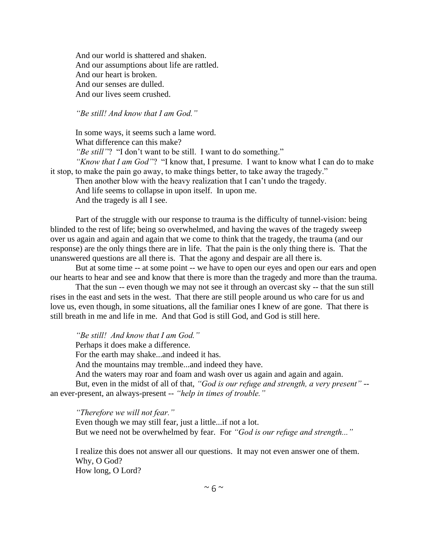And our world is shattered and shaken. And our assumptions about life are rattled. And our heart is broken. And our senses are dulled. And our lives seem crushed.

*"Be still! And know that I am God."*

In some ways, it seems such a lame word.

What difference can this make?

*"Be still"*? "I don't want to be still. I want to do something."

*"Know that I am God"*? "I know that, I presume. I want to know what I can do to make it stop, to make the pain go away, to make things better, to take away the tragedy."

Then another blow with the heavy realization that I can't undo the tragedy.

And life seems to collapse in upon itself. In upon me. And the tragedy is all I see.

Part of the struggle with our response to trauma is the difficulty of tunnel-vision: being blinded to the rest of life; being so overwhelmed, and having the waves of the tragedy sweep over us again and again and again that we come to think that the tragedy, the trauma (and our response) are the only things there are in life. That the pain is the only thing there is. That the unanswered questions are all there is. That the agony and despair are all there is.

But at some time -- at some point -- we have to open our eyes and open our ears and open our hearts to hear and see and know that there is more than the tragedy and more than the trauma.

That the sun -- even though we may not see it through an overcast sky -- that the sun still rises in the east and sets in the west. That there are still people around us who care for us and love us, even though, in some situations, all the familiar ones I knew of are gone. That there is still breath in me and life in me. And that God is still God, and God is still here.

*"Be still! And know that I am God."*

Perhaps it does make a difference.

For the earth may shake...and indeed it has.

And the mountains may tremble...and indeed they have.

And the waters may roar and foam and wash over us again and again and again.

But, even in the midst of all of that, *"God is our refuge and strength, a very present"* - an ever-present, an always-present -- *"help in times of trouble."*

*"Therefore we will not fear."*

Even though we may still fear, just a little...if not a lot. But we need not be overwhelmed by fear. For *"God is our refuge and strength..."*

I realize this does not answer all our questions. It may not even answer one of them. Why, O God? How long, O Lord?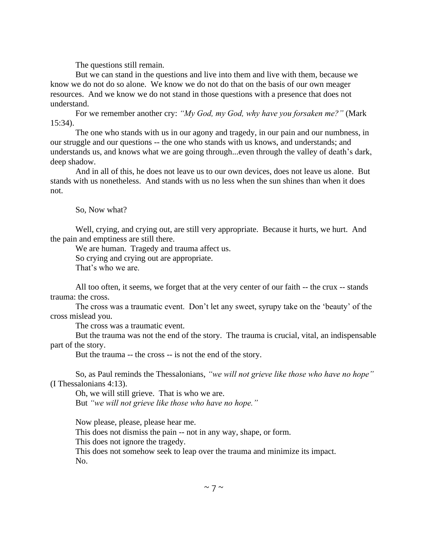The questions still remain.

But we can stand in the questions and live into them and live with them, because we know we do not do so alone. We know we do not do that on the basis of our own meager resources. And we know we do not stand in those questions with a presence that does not understand.

For we remember another cry: *"My God, my God, why have you forsaken me?"* (Mark 15:34).

The one who stands with us in our agony and tragedy, in our pain and our numbness, in our struggle and our questions -- the one who stands with us knows, and understands; and understands us, and knows what we are going through...even through the valley of death's dark, deep shadow.

And in all of this, he does not leave us to our own devices, does not leave us alone. But stands with us nonetheless. And stands with us no less when the sun shines than when it does not.

So, Now what?

Well, crying, and crying out, are still very appropriate. Because it hurts, we hurt. And the pain and emptiness are still there.

We are human. Tragedy and trauma affect us.

So crying and crying out are appropriate.

That's who we are.

All too often, it seems, we forget that at the very center of our faith -- the crux -- stands trauma: the cross.

The cross was a traumatic event. Don't let any sweet, syrupy take on the 'beauty' of the cross mislead you.

The cross was a traumatic event.

But the trauma was not the end of the story. The trauma is crucial, vital, an indispensable part of the story.

But the trauma -- the cross -- is not the end of the story.

So, as Paul reminds the Thessalonians, *"we will not grieve like those who have no hope"* (I Thessalonians 4:13).

Oh, we will still grieve. That is who we are.

But *"we will not grieve like those who have no hope."*

Now please, please, please hear me.

This does not dismiss the pain -- not in any way, shape, or form.

This does not ignore the tragedy.

This does not somehow seek to leap over the trauma and minimize its impact. No.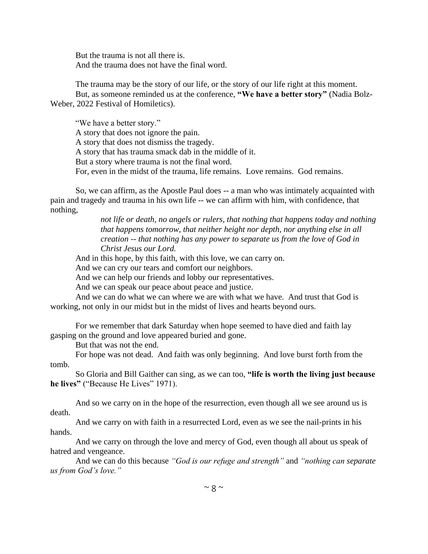But the trauma is not all there is. And the trauma does not have the final word.

The trauma may be the story of our life, or the story of our life right at this moment. But, as someone reminded us at the conference, **"We have a better story"** (Nadia Bolz-Weber, 2022 Festival of Homiletics).

"We have a better story." A story that does not ignore the pain. A story that does not dismiss the tragedy. A story that has trauma smack dab in the middle of it. But a story where trauma is not the final word. For, even in the midst of the trauma, life remains. Love remains. God remains.

So, we can affirm, as the Apostle Paul does -- a man who was intimately acquainted with pain and tragedy and trauma in his own life -- we can affirm with him, with confidence, that nothing,

> *not life or death, no angels or rulers, that nothing that happens today and nothing that happens tomorrow, that neither height nor depth, nor anything else in all creation -- that nothing has any power to separate us from the love of God in Christ Jesus our Lord.*

And in this hope, by this faith, with this love, we can carry on.

And we can cry our tears and comfort our neighbors.

And we can help our friends and lobby our representatives.

And we can speak our peace about peace and justice.

And we can do what we can where we are with what we have. And trust that God is working, not only in our midst but in the midst of lives and hearts beyond ours.

For we remember that dark Saturday when hope seemed to have died and faith lay gasping on the ground and love appeared buried and gone.

But that was not the end.

For hope was not dead. And faith was only beginning. And love burst forth from the tomb.

So Gloria and Bill Gaither can sing, as we can too, **"life is worth the living just because he lives"** ("Because He Lives" 1971).

And so we carry on in the hope of the resurrection, even though all we see around us is death.

And we carry on with faith in a resurrected Lord, even as we see the nail-prints in his hands.

And we carry on through the love and mercy of God, even though all about us speak of hatred and vengeance.

And we can do this because *"God is our refuge and strength"* and *"nothing can separate us from God's love."*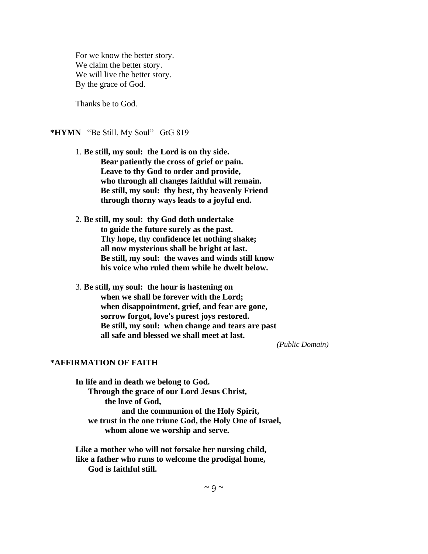For we know the better story. We claim the better story. We will live the better story. By the grace of God.

Thanks be to God.

#### **\*HYMN** "Be Still, My Soul" GtG 819

- 1. **Be still, my soul: the Lord is on thy side. Bear patiently the cross of grief or pain. Leave to thy God to order and provide, who through all changes faithful will remain. Be still, my soul: thy best, thy heavenly Friend through thorny ways leads to a joyful end.**
- 2. **Be still, my soul: thy God doth undertake to guide the future surely as the past. Thy hope, thy confidence let nothing shake; all now mysterious shall be bright at last. Be still, my soul: the waves and winds still know his voice who ruled them while he dwelt below.**
- 3. **Be still, my soul: the hour is hastening on when we shall be forever with the Lord; when disappointment, grief, and fear are gone, sorrow forgot, love's purest joys restored. Be still, my soul: when change and tears are past all safe and blessed we shall meet at last.**

*(Public Domain)*

# **\*AFFIRMATION OF FAITH**

**In life and in death we belong to God. Through the grace of our Lord Jesus Christ, the love of God, and the communion of the Holy Spirit, we trust in the one triune God, the Holy One of Israel, whom alone we worship and serve.**

**Like a mother who will not forsake her nursing child, like a father who runs to welcome the prodigal home, God is faithful still.**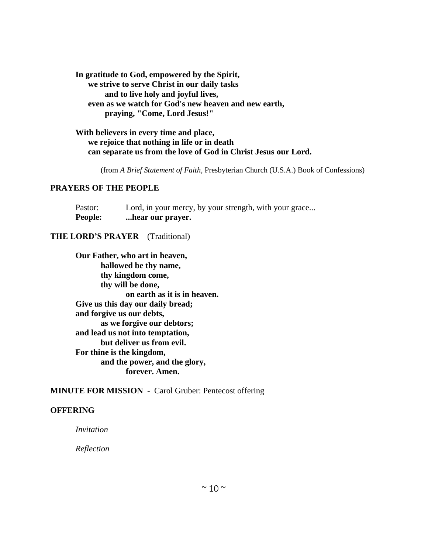**In gratitude to God, empowered by the Spirit, we strive to serve Christ in our daily tasks and to live holy and joyful lives, even as we watch for God's new heaven and new earth, praying, "Come, Lord Jesus!"**

**With believers in every time and place, we rejoice that nothing in life or in death can separate us from the love of God in Christ Jesus our Lord.**

(from *A Brief Statement of Faith*, Presbyterian Church (U.S.A.) Book of Confessions)

# **PRAYERS OF THE PEOPLE**

Pastor: Lord, in your mercy, by your strength, with your grace... **People: ...hear our prayer.**

### **THE LORD'S PRAYER** (Traditional)

**Our Father, who art in heaven, hallowed be thy name, thy kingdom come, thy will be done, on earth as it is in heaven. Give us this day our daily bread; and forgive us our debts, as we forgive our debtors; and lead us not into temptation, but deliver us from evil. For thine is the kingdom, and the power, and the glory, forever. Amen.**

**MINUTE FOR MISSION** - Carol Gruber: Pentecost offering

### **OFFERING**

*Invitation*

*Reflection*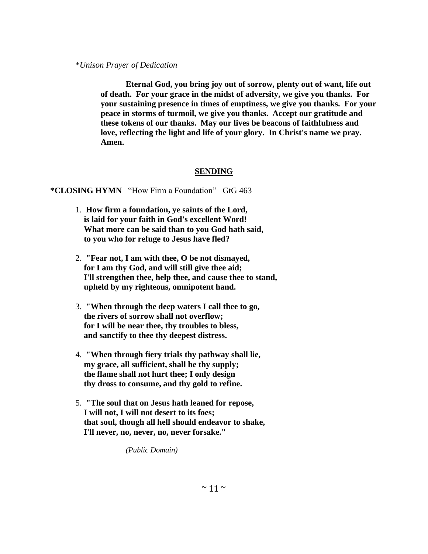### \**Unison Prayer of Dedication*

**Eternal God, you bring joy out of sorrow, plenty out of want, life out of death. For your grace in the midst of adversity, we give you thanks. For your sustaining presence in times of emptiness, we give you thanks. For your peace in storms of turmoil, we give you thanks. Accept our gratitude and these tokens of our thanks. May our lives be beacons of faithfulness and love, reflecting the light and life of your glory. In Christ's name we pray. Amen.**

### **SENDING**

**\*CLOSING HYMN** "How Firm a Foundation" GtG 463

- 1. **How firm a foundation, ye saints of the Lord, is laid for your faith in God's excellent Word! What more can be said than to you God hath said, to you who for refuge to Jesus have fled?**
- 2. **"Fear not, I am with thee, O be not dismayed, for I am thy God, and will still give thee aid; I'll strengthen thee, help thee, and cause thee to stand, upheld by my righteous, omnipotent hand.**
- 3. **"When through the deep waters I call thee to go, the rivers of sorrow shall not overflow; for I will be near thee, thy troubles to bless, and sanctify to thee thy deepest distress.**
- 4. **"When through fiery trials thy pathway shall lie, my grace, all sufficient, shall be thy supply; the flame shall not hurt thee; I only design thy dross to consume, and thy gold to refine.**
- 5. **"The soul that on Jesus hath leaned for repose, I will not, I will not desert to its foes; that soul, though all hell should endeavor to shake, I'll never, no, never, no, never forsake."**

*(Public Domain)*